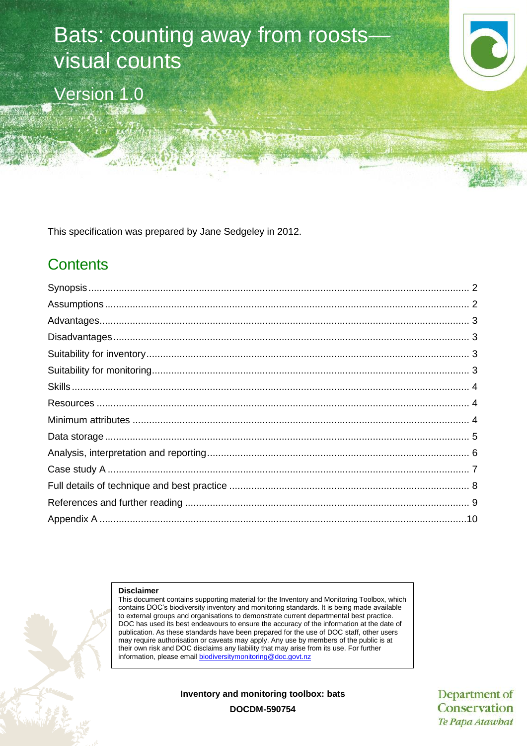# Bats: counting away from roosts visual counts

Version 1.0



This specification was prepared by Jane Sedgeley in 2012.

# **Contents**

#### **Disclaimer**

This document contains supporting material for the Inventory and Monitoring Toolbox, which contains DOC's biodiversity inventory and monitoring standards. It is being made available to external groups and organisations to demonstrate current departmental best practice. DOC has used its best endeavours to ensure the accuracy of the information at the date of publication. As these standards have been prepared for the use of DOC staff, other users may require authorisation or caveats may apply. Any use by members of the public is at their own risk and DOC disclaims any liability that may arise from its use. For further information, please email [biodiversitymonitoring@doc.govt.nz](mailto:biodiversitymonitoring@doc.govt.nz)

**Inventory and monitoring toolbox: bats**

Department of Conservation Te Papa Atawhai

**DOCDM-590754**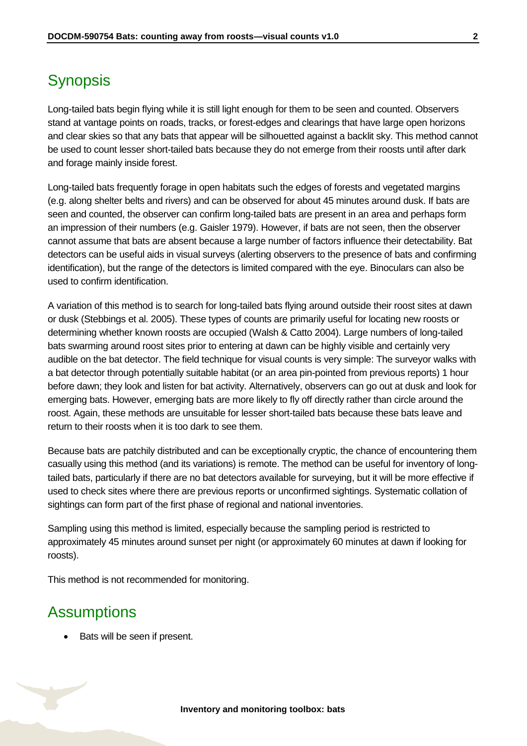# <span id="page-1-0"></span>**Synopsis**

Long-tailed bats begin flying while it is still light enough for them to be seen and counted. Observers stand at vantage points on roads, tracks, or forest-edges and clearings that have large open horizons and clear skies so that any bats that appear will be silhouetted against a backlit sky. This method cannot be used to count lesser short-tailed bats because they do not emerge from their roosts until after dark and forage mainly inside forest.

Long-tailed bats frequently forage in open habitats such the edges of forests and vegetated margins (e.g. along shelter belts and rivers) and can be observed for about 45 minutes around dusk. If bats are seen and counted, the observer can confirm long-tailed bats are present in an area and perhaps form an impression of their numbers (e.g. Gaisler 1979). However, if bats are not seen, then the observer cannot assume that bats are absent because a large number of factors influence their detectability. Bat detectors can be useful aids in visual surveys (alerting observers to the presence of bats and confirming identification), but the range of the detectors is limited compared with the eye. Binoculars can also be used to confirm identification.

A variation of this method is to search for long-tailed bats flying around outside their roost sites at dawn or dusk (Stebbings et al. 2005). These types of counts are primarily useful for locating new roosts or determining whether known roosts are occupied (Walsh & Catto 2004). Large numbers of long-tailed bats swarming around roost sites prior to entering at dawn can be highly visible and certainly very audible on the bat detector. The field technique for visual counts is very simple: The surveyor walks with a bat detector through potentially suitable habitat (or an area pin-pointed from previous reports) 1 hour before dawn; they look and listen for bat activity. Alternatively, observers can go out at dusk and look for emerging bats. However, emerging bats are more likely to fly off directly rather than circle around the roost. Again, these methods are unsuitable for lesser short-tailed bats because these bats leave and return to their roosts when it is too dark to see them.

Because bats are patchily distributed and can be exceptionally cryptic, the chance of encountering them casually using this method (and its variations) is remote. The method can be useful for inventory of longtailed bats, particularly if there are no bat detectors available for surveying, but it will be more effective if used to check sites where there are previous reports or unconfirmed sightings. Systematic collation of sightings can form part of the first phase of regional and national inventories.

Sampling using this method is limited, especially because the sampling period is restricted to approximately 45 minutes around sunset per night (or approximately 60 minutes at dawn if looking for roosts).

This method is not recommended for monitoring.

### <span id="page-1-1"></span>**Assumptions**

Bats will be seen if present.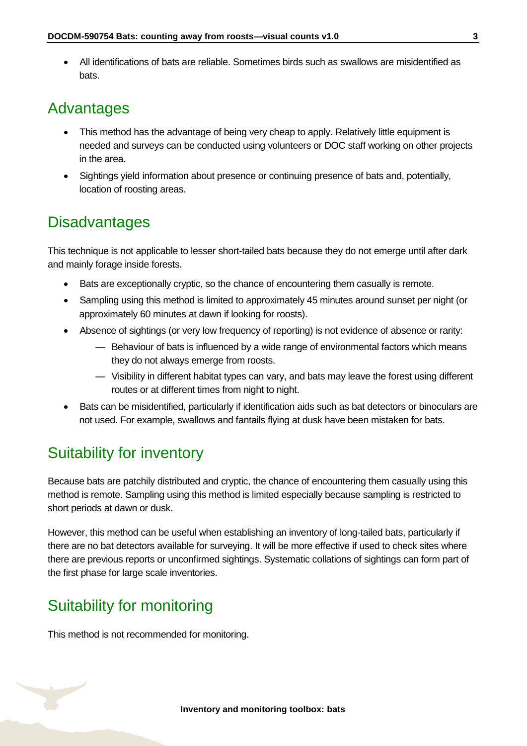All identifications of bats are reliable. Sometimes birds such as swallows are misidentified as bats.

### <span id="page-2-0"></span>Advantages

- This method has the advantage of being very cheap to apply. Relatively little equipment is needed and surveys can be conducted using volunteers or DOC staff working on other projects in the area.
- Sightings yield information about presence or continuing presence of bats and, potentially, location of roosting areas.

### <span id="page-2-1"></span>**Disadvantages**

This technique is not applicable to lesser short-tailed bats because they do not emerge until after dark and mainly forage inside forests.

- Bats are exceptionally cryptic, so the chance of encountering them casually is remote.
- Sampling using this method is limited to approximately 45 minutes around sunset per night (or approximately 60 minutes at dawn if looking for roosts).
- Absence of sightings (or very low frequency of reporting) is not evidence of absence or rarity:
	- Behaviour of bats is influenced by a wide range of environmental factors which means they do not always emerge from roosts.
	- Visibility in different habitat types can vary, and bats may leave the forest using different routes or at different times from night to night.
- Bats can be misidentified, particularly if identification aids such as bat detectors or binoculars are not used. For example, swallows and fantails flying at dusk have been mistaken for bats.

# <span id="page-2-2"></span>Suitability for inventory

Because bats are patchily distributed and cryptic, the chance of encountering them casually using this method is remote. Sampling using this method is limited especially because sampling is restricted to short periods at dawn or dusk.

However, this method can be useful when establishing an inventory of long-tailed bats, particularly if there are no bat detectors available for surveying. It will be more effective if used to check sites where there are previous reports or unconfirmed sightings. Systematic collations of sightings can form part of the first phase for large scale inventories.

# <span id="page-2-3"></span>Suitability for monitoring

This method is not recommended for monitoring.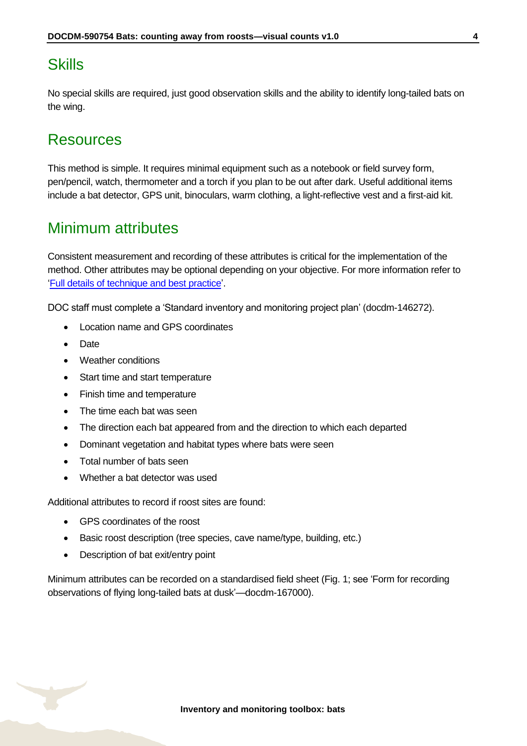## <span id="page-3-0"></span>**Skills**

No special skills are required, just good observation skills and the ability to identify long-tailed bats on the wing.

### <span id="page-3-1"></span>Resources

This method is simple. It requires minimal equipment such as a notebook or field survey form, pen/pencil, watch, thermometer and a torch if you plan to be out after dark. Useful additional items include a bat detector, GPS unit, binoculars, warm clothing, a light-reflective vest and a first-aid kit.

### <span id="page-3-2"></span>Minimum attributes

Consistent measurement and recording of these attributes is critical for the implementation of the method. Other attributes may be optional depending on your objective. For more information refer to ['Full details of technique and best practice'](#page-7-0).

DOC staff must complete a 'Standard inventory and monitoring project plan' (docdm-146272).

- Location name and GPS coordinates
- Date
- Weather conditions
- Start time and start temperature
- Finish time and temperature
- The time each bat was seen
- The direction each bat appeared from and the direction to which each departed
- Dominant vegetation and habitat types where bats were seen
- Total number of bats seen
- Whether a bat detector was used

Additional attributes to record if roost sites are found:

- GPS coordinates of the roost
- Basic roost description (tree species, cave name/type, building, etc.)
- Description of bat exit/entry point

Minimum attributes can be recorded on a standardised field sheet (Fig. 1; see 'Form for recording observations of flying long-tailed bats at dusk'—docdm-167000).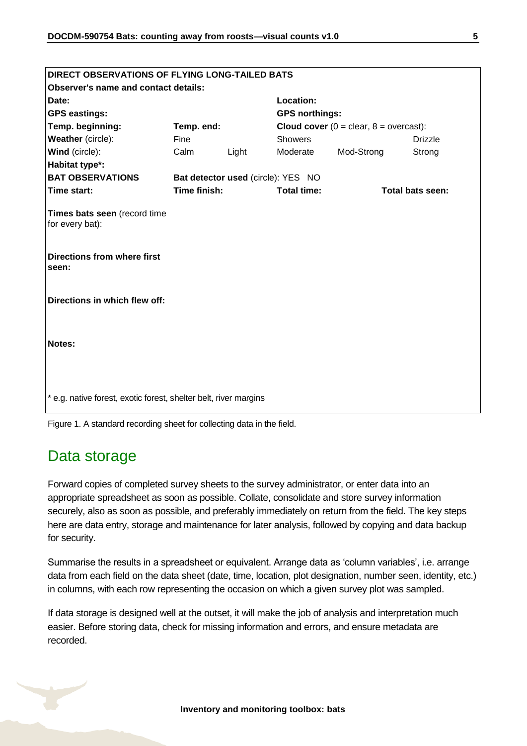| DIRECT OBSERVATIONS OF FLYING LONG-TAILED BATS                   |                                    |       |                                                    |            |                         |  |
|------------------------------------------------------------------|------------------------------------|-------|----------------------------------------------------|------------|-------------------------|--|
| <b>Observer's name and contact details:</b>                      |                                    |       |                                                    |            |                         |  |
| Date:                                                            |                                    |       | Location:                                          |            |                         |  |
| <b>GPS eastings:</b>                                             |                                    |       | <b>GPS northings:</b>                              |            |                         |  |
| Temp. beginning:                                                 | Temp. end:                         |       | <b>Cloud cover</b> ( $0 =$ clear, $8 =$ overcast): |            |                         |  |
| Weather (circle):                                                | Fine                               |       | <b>Showers</b>                                     |            | <b>Drizzle</b>          |  |
| Wind (circle):                                                   | Calm                               | Light | Moderate                                           | Mod-Strong | Strong                  |  |
| Habitat type*:                                                   |                                    |       |                                                    |            |                         |  |
| <b>BAT OBSERVATIONS</b>                                          | Bat detector used (circle): YES NO |       |                                                    |            |                         |  |
| Time start:                                                      | Time finish:                       |       | <b>Total time:</b>                                 |            | <b>Total bats seen:</b> |  |
| Times bats seen (record time<br>for every bat):                  |                                    |       |                                                    |            |                         |  |
| <b>Directions from where first</b><br>seen:                      |                                    |       |                                                    |            |                         |  |
| Directions in which flew off:                                    |                                    |       |                                                    |            |                         |  |
| Notes:                                                           |                                    |       |                                                    |            |                         |  |
| * e.g. native forest, exotic forest, shelter belt, river margins |                                    |       |                                                    |            |                         |  |

Figure 1. A standard recording sheet for collecting data in the field.

### <span id="page-4-0"></span>Data storage

Forward copies of completed survey sheets to the survey administrator, or enter data into an appropriate spreadsheet as soon as possible. Collate, consolidate and store survey information securely, also as soon as possible, and preferably immediately on return from the field. The key steps here are data entry, storage and maintenance for later analysis, followed by copying and data backup for security.

Summarise the results in a spreadsheet or equivalent. Arrange data as 'column variables', i.e. arrange data from each field on the data sheet (date, time, location, plot designation, number seen, identity, etc.) in columns, with each row representing the occasion on which a given survey plot was sampled.

If data storage is designed well at the outset, it will make the job of analysis and interpretation much easier. Before storing data, check for missing information and errors, and ensure metadata are recorded.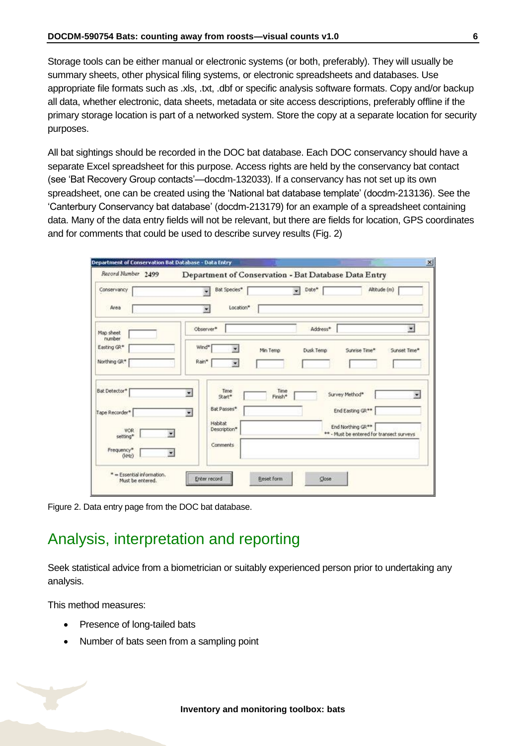Storage tools can be either manual or electronic systems (or both, preferably). They will usually be summary sheets, other physical filing systems, or electronic spreadsheets and databases. Use appropriate file formats such as .xls, .txt, .dbf or specific analysis software formats. Copy and/or backup all data, whether electronic, data sheets, metadata or site access descriptions, preferably offline if the primary storage location is part of a networked system. Store the copy at a separate location for security purposes.

All bat sightings should be recorded in the DOC bat database. Each DOC conservancy should have a separate Excel spreadsheet for this purpose. Access rights are held by the conservancy bat contact (see 'Bat Recovery Group contacts'—docdm-132033). If a conservancy has not set up its own spreadsheet, one can be created using the 'National bat database template' (docdm-213136). See the 'Canterbury Conservancy bat database' (docdm-213179) for an example of a spreadsheet containing data. Many of the data entry fields will not be relevant, but there are fields for location, GPS coordinates and for comments that could be used to describe survey results (Fig. 2)

| Record Number 2499                        |                                                                                  | Department of Conservation - Bat Database Data Entry           |
|-------------------------------------------|----------------------------------------------------------------------------------|----------------------------------------------------------------|
| Conservancy<br>Area                       | Bat Species*<br>Location*<br>٠                                                   | Altitude (m)<br>Date*<br>۰                                     |
| Map sheet<br>rumber<br>Easting GR*        | Observer*<br>Wind*                                                               | $\bullet$<br>Address*                                          |
| Northing GR*                              | ÷<br>Min Temp<br>Rain*<br>$\overline{\mathbf{r}}$                                | Dusk Temp<br>Sunrise Time*<br>Sunset Time*                     |
| Bat Detector*<br>Tape Recorder*           | Time<br>Time<br>$\overline{\mathbf{x}}$<br>Finish*<br>Start*<br>Bat Passes*<br>麦 | Survey Method*<br>Ξ<br>End Easting GR**                        |
| VOR<br>setting*<br>Frequency*<br>$(k+tz)$ | <b>Habitat</b><br>Description*<br>Comments                                       | End Northing GR**<br>** - Must be entered for transect surveys |

Figure 2. Data entry page from the DOC bat database.

# <span id="page-5-0"></span>Analysis, interpretation and reporting

Seek statistical advice from a biometrician or suitably experienced person prior to undertaking any analysis.

This method measures:

- Presence of long-tailed bats
- Number of bats seen from a sampling point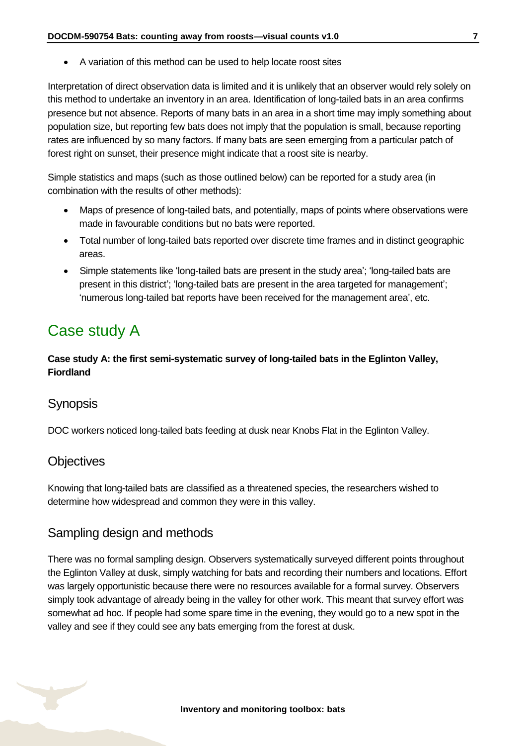A variation of this method can be used to help locate roost sites

Interpretation of direct observation data is limited and it is unlikely that an observer would rely solely on this method to undertake an inventory in an area. Identification of long-tailed bats in an area confirms presence but not absence. Reports of many bats in an area in a short time may imply something about population size, but reporting few bats does not imply that the population is small, because reporting rates are influenced by so many factors. If many bats are seen emerging from a particular patch of forest right on sunset, their presence might indicate that a roost site is nearby.

Simple statistics and maps (such as those outlined below) can be reported for a study area (in combination with the results of other methods):

- Maps of presence of long-tailed bats, and potentially, maps of points where observations were made in favourable conditions but no bats were reported.
- Total number of long-tailed bats reported over discrete time frames and in distinct geographic areas.
- Simple statements like 'long-tailed bats are present in the study area'; 'long-tailed bats are present in this district'; 'long-tailed bats are present in the area targeted for management'; 'numerous long-tailed bat reports have been received for the management area', etc.

# <span id="page-6-0"></span>Case study A

**Case study A: the first semi-systematic survey of long-tailed bats in the Eglinton Valley, Fiordland**

#### **Synopsis**

DOC workers noticed long-tailed bats feeding at dusk near Knobs Flat in the Eglinton Valley.

#### **Objectives**

Knowing that long-tailed bats are classified as a threatened species, the researchers wished to determine how widespread and common they were in this valley.

#### Sampling design and methods

There was no formal sampling design. Observers systematically surveyed different points throughout the Eglinton Valley at dusk, simply watching for bats and recording their numbers and locations. Effort was largely opportunistic because there were no resources available for a formal survey. Observers simply took advantage of already being in the valley for other work. This meant that survey effort was somewhat ad hoc. If people had some spare time in the evening, they would go to a new spot in the valley and see if they could see any bats emerging from the forest at dusk.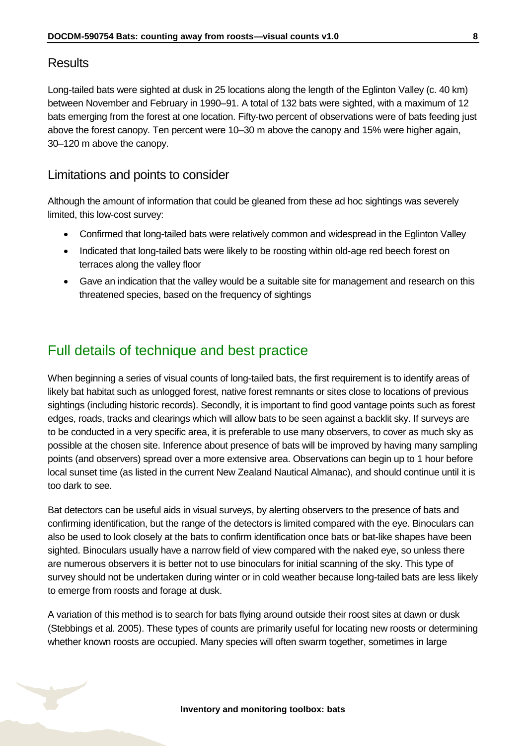#### **Results**

Long-tailed bats were sighted at dusk in 25 locations along the length of the Eglinton Valley (c. 40 km) between November and February in 1990–91. A total of 132 bats were sighted, with a maximum of 12 bats emerging from the forest at one location. Fifty-two percent of observations were of bats feeding just above the forest canopy. Ten percent were 10–30 m above the canopy and 15% were higher again, 30–120 m above the canopy.

#### Limitations and points to consider

Although the amount of information that could be gleaned from these ad hoc sightings was severely limited, this low-cost survey:

- Confirmed that long-tailed bats were relatively common and widespread in the Eglinton Valley
- Indicated that long-tailed bats were likely to be roosting within old-age red beech forest on terraces along the valley floor
- Gave an indication that the valley would be a suitable site for management and research on this threatened species, based on the frequency of sightings

### <span id="page-7-0"></span>Full details of technique and best practice

When beginning a series of visual counts of long-tailed bats, the first requirement is to identify areas of likely bat habitat such as unlogged forest, native forest remnants or sites close to locations of previous sightings (including historic records). Secondly, it is important to find good vantage points such as forest edges, roads, tracks and clearings which will allow bats to be seen against a backlit sky. If surveys are to be conducted in a very specific area, it is preferable to use many observers, to cover as much sky as possible at the chosen site. Inference about presence of bats will be improved by having many sampling points (and observers) spread over a more extensive area. Observations can begin up to 1 hour before local sunset time (as listed in the current New Zealand Nautical Almanac), and should continue until it is too dark to see.

Bat detectors can be useful aids in visual surveys, by alerting observers to the presence of bats and confirming identification, but the range of the detectors is limited compared with the eye. Binoculars can also be used to look closely at the bats to confirm identification once bats or bat-like shapes have been sighted. Binoculars usually have a narrow field of view compared with the naked eye, so unless there are numerous observers it is better not to use binoculars for initial scanning of the sky. This type of survey should not be undertaken during winter or in cold weather because long-tailed bats are less likely to emerge from roosts and forage at dusk.

A variation of this method is to search for bats flying around outside their roost sites at dawn or dusk (Stebbings et al. 2005). These types of counts are primarily useful for locating new roosts or determining whether known roosts are occupied. Many species will often swarm together, sometimes in large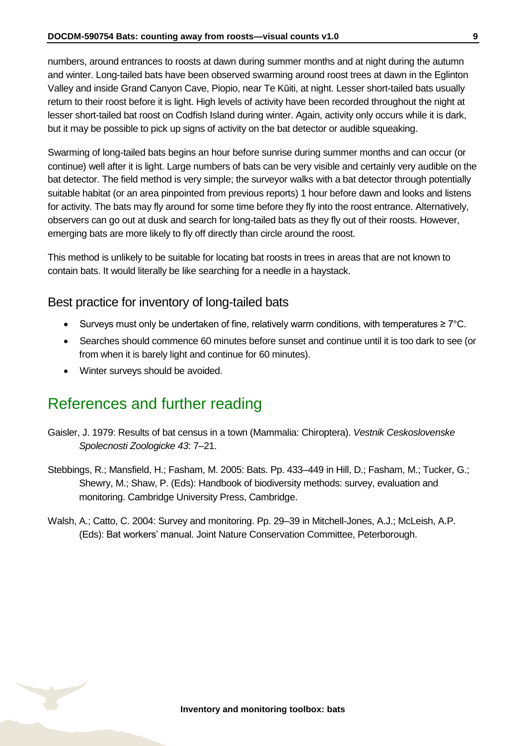numbers, around entrances to roosts at dawn during summer months and at night during the autumn and winter. Long-tailed bats have been observed swarming around roost trees at dawn in the Eglinton Valley and inside Grand Canyon Cave, Piopio, near Te Kūiti, at night. Lesser short-tailed bats usually return to their roost before it is light. High levels of activity have been recorded throughout the night at lesser short-tailed bat roost on Codfish Island during winter. Again, activity only occurs while it is dark, but it may be possible to pick up signs of activity on the bat detector or audible squeaking.

Swarming of long-tailed bats begins an hour before sunrise during summer months and can occur (or continue) well after it is light. Large numbers of bats can be very visible and certainly very audible on the bat detector. The field method is very simple; the surveyor walks with a bat detector through potentially suitable habitat (or an area pinpointed from previous reports) 1 hour before dawn and looks and listens for activity. The bats may fly around for some time before they fly into the roost entrance. Alternatively, observers can go out at dusk and search for long-tailed bats as they fly out of their roosts. However, emerging bats are more likely to fly off directly than circle around the roost.

This method is unlikely to be suitable for locating bat roosts in trees in areas that are not known to contain bats. It would literally be like searching for a needle in a haystack.

#### Best practice for inventory of long-tailed bats

- Surveys must only be undertaken of fine, relatively warm conditions, with temperatures ≥ 7°C.
- Searches should commence 60 minutes before sunset and continue until it is too dark to see (or from when it is barely light and continue for 60 minutes).
- Winter surveys should be avoided.

### <span id="page-8-0"></span>References and further reading

- Gaisler, J. 1979: Results of bat census in a town (Mammalia: Chiroptera). *Vestnik Ceskoslovenske Spolecnosti Zoologicke 43*: 7–21.
- Stebbings, R.; Mansfield, H.; Fasham, M. 2005: Bats. Pp. 433–449 in Hill, D.; Fasham, M.; Tucker, G.; Shewry, M.; Shaw, P. (Eds): Handbook of biodiversity methods: survey, evaluation and monitoring. Cambridge University Press, Cambridge.
- Walsh, A.; Catto, C. 2004: Survey and monitoring. Pp. 29–39 in Mitchell-Jones, A.J.; McLeish, A.P. (Eds): Bat workers' manual. Joint Nature Conservation Committee, Peterborough.